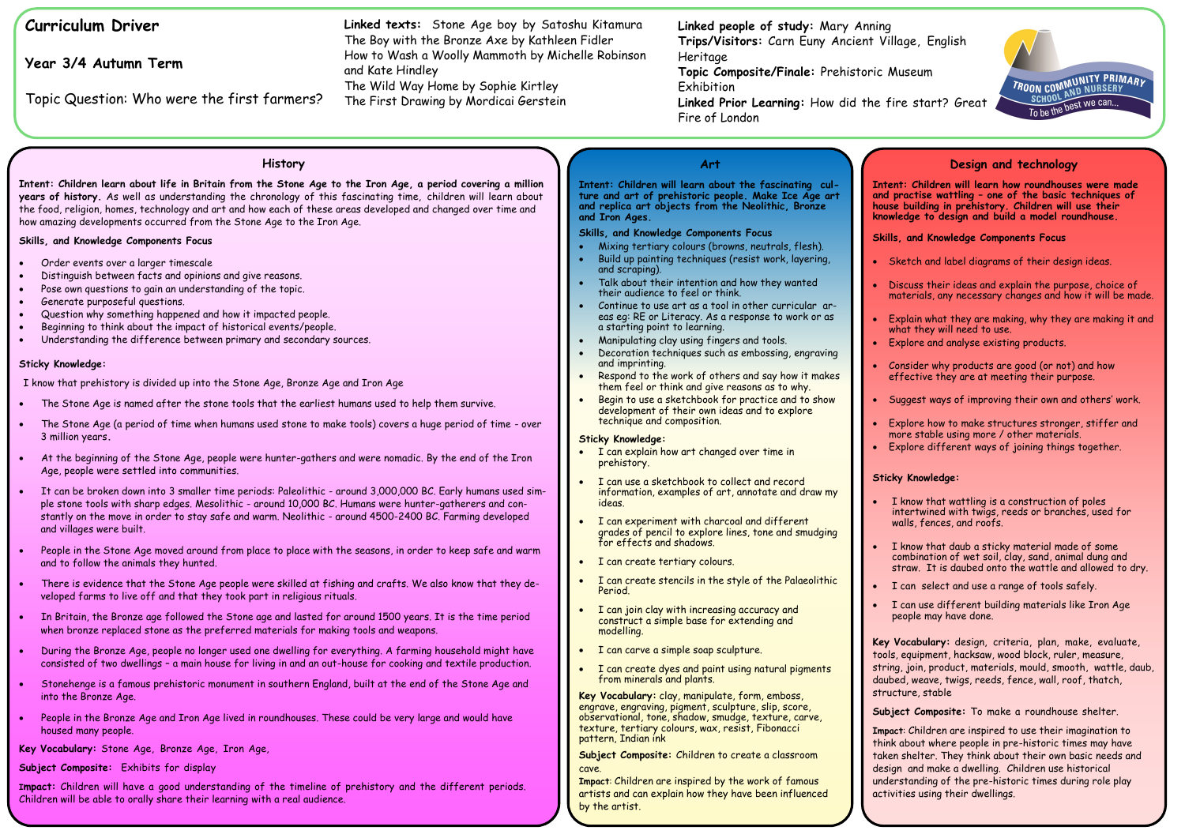# **Curriculum Driver**

**Year 3/4 Autumn Term**

Topic Question: Who were the first farmers?

### **Art**

**Intent: Children will learn about the fascinating culture and art of prehistoric people. Make Ice Age art and replica art objects from the Neolithic, Bronze and Iron Ages.** 

## **Skills, and Knowledge Components Focus**

- Mixing tertiary colours (browns, neutrals, flesh).
- Build up painting techniques (resist work, layering, and scraping).
- Talk about their intention and how they wanted their audience to feel or think.
- Continue to use art as a tool in other curricular areas eg: RE or Literacy. As a response to work or as a starting point to learning.
- Manipulating clay using fingers and tools.
- Decoration techniques such as embossing, engraving and imprinting.
- Respond to the work of others and say how it makes them feel or think and give reasons as to why.
- Begin to use a sketchbook for practice and to show development of their own ideas and to explore technique and composition.

**Key Vocabulary:** clay, manipulate, form, emboss, engrave, engraving, pigment, sculpture, slip, score, observational, tone, shadow, smudge, texture, carve, texture, tertiary colours, wax, resist, Fibonacci pattern, Indian ink

#### **Sticky Knowledge:**

- I can explain how art changed over time in prehistory.
- I can use a sketchbook to collect and record information, examples of art, annotate and draw my ideas.
- I can experiment with charcoal and different grades of pencil to explore lines, tone and smudging for effects and shadows.
- I can create tertiary colours.
- I can create stencils in the style of the Palaeolithic Period.
- I can join clay with increasing accuracy and construct a simple base for extending and modelling.
- I can carve a simple soap sculpture.
- I can create dyes and paint using natural pigments from minerals and plants.

**Topic Composite/Finale:** Prehistoric Museum **Exhibition** 

**Subject Composite:** Children to create a classroom cave.

**Impact**: Children are inspired by the work of famous artists and can explain how they have been influenced by the artist.

**Linked people of study:** Mary Anning **Trips/Visitors:** Carn Euny Ancient Village, English Heritage

**Linked Prior Learning:** How did the fire start? Great Fire of London

**Linked texts:** Stone Age boy by Satoshu Kitamura The Boy with the Bronze Axe by Kathleen Fidler How to Wash a Woolly Mammoth by Michelle Robinson and Kate Hindley

The Wild Way Home by Sophie Kirtley The First Drawing by Mordicai Gerstein

#### **History**

**Intent: Children learn about life in Britain from the Stone Age to the Iron Age, a period covering a million years of history.** As well as understanding the chronology of this fascinating time, children will learn about the food, religion, homes, technology and art and how each of these areas developed and changed over time and how amazing developments occurred from the Stone Age to the Iron Age.

#### **Skills, and Knowledge Components Focus**

- Order events over a larger timescale
- Distinguish between facts and opinions and give reasons.
- Pose own questions to gain an understanding of the topic.
- Generate purposeful questions.
- Question why something happened and how it impacted people.
- Beginning to think about the impact of historical events/people.
- Understanding the difference between primary and secondary sources.

• I know that wattling is a construction of poles intertwined with twigs, reeds or branches, used for walls, fences, and roofs.

#### **Sticky Knowledge:**

I know that prehistory is divided up into the Stone Age, Bronze Age and Iron Age

- The Stone Age is named after the stone tools that the earliest humans used to help them survive.
- The Stone Age (a period of time when humans used stone to make tools) covers a huge period of time over 3 million years**.**
- At the beginning of the Stone Age, people were hunter-gathers and were nomadic. By the end of the Iron Age, people were settled into communities.
- It can be broken down into 3 smaller time periods: Paleolithic around 3,000,000 BC. Early humans used simple stone tools with sharp edges. Mesolithic - around 10,000 BC. Humans were hunter-gatherers and constantly on the move in order to stay safe and warm. Neolithic - around 4500-2400 BC. Farming developed and villages were built.
- People in the Stone Age moved around from place to place with the seasons, in order to keep safe and warm and to follow the animals they hunted.
- There is evidence that the Stone Age people were skilled at fishing and crafts. We also know that they developed farms to live off and that they took part in religious rituals.
- In Britain, the Bronze age followed the Stone age and lasted for around 1500 years. It is the time period when bronze replaced stone as the preferred materials for making tools and weapons.
- During the Bronze Age, people no longer used one dwelling for everything. A farming household might have consisted of two dwellings – a main house for living in and an out-house for cooking and textile production.
- Stonehenge is a famous prehistoric monument in southern England, built at the end of the Stone Age and into the Bronze Age.
- People in the Bronze Age and Iron Age lived in roundhouses. These could be very large and would have housed many people.

**Key Vocabulary:** Stone Age, Bronze Age, Iron Age,

**Subject Composite:** Exhibits for display

**Impact:** Children will have a good understanding of the timeline of prehistory and the different periods. Children will be able to orally share their learning with a real audience.

## **Design and technology**

**Intent: Children will learn how roundhouses were made and practise wattling – one of the basic techniques of house building in prehistory. Children will use their knowledge to design and build a model roundhouse.** 

#### **Skills, and Knowledge Components Focus**

Sketch and label diagrams of their design ideas.

 Discuss their ideas and explain the purpose, choice of materials, any necessary changes and how it will be made.

 Explain what they are making, why they are making it and what they will need to use.

Explore and analyse existing products.

 Consider why products are good (or not) and how effective they are at meeting their purpose.

Suggest ways of improving their own and others' work.

 Explore how to make structures stronger, stiffer and more stable using more / other materials. Explore different ways of joining things together.

#### **Sticky Knowledge:**

 I know that daub a sticky material made of some combination of wet soil, clay, sand, animal dung and straw. It is daubed onto the wattle and allowed to dry.

I can select and use a range of tools safely.

 I can use different building materials like Iron Age people may have done.

**Key Vocabulary:** design, criteria, plan, make, evaluate, tools, equipment, hacksaw, wood block, ruler, measure, string, join, product, materials, mould, smooth, wattle, daub, daubed, weave, twigs, reeds, fence, wall, roof, thatch, structure, stable

**Subject Composite:** To make a roundhouse shelter.

**Impact**: Children are inspired to use their imagination to think about where people in pre-historic times may have taken shelter. They think about their own basic needs and design and make a dwelling. Children use historical understanding of the pre-historic times during role play activities using their dwellings.